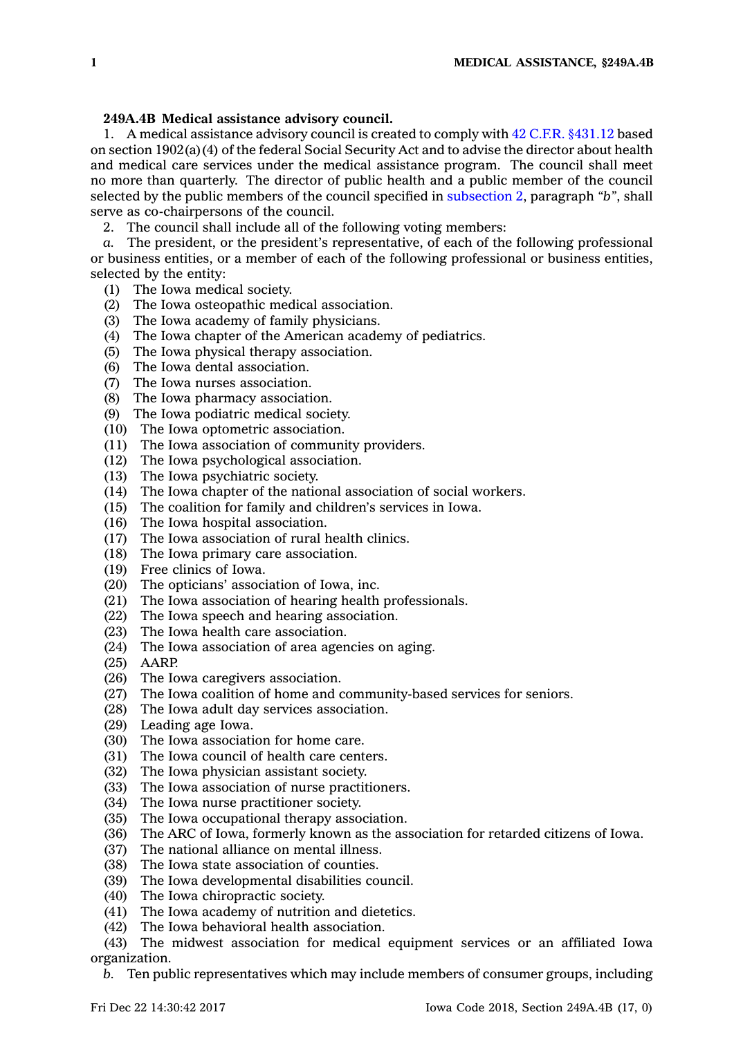## **249A.4B Medical assistance advisory council.**

1. A medical assistance advisory council is created to comply with 42 C.F.R. §431.12 based on section 1902(a)(4) of the federal Social Security Act and to advise the director about health and medical care services under the medical assistance program. The council shall meet no more than quarterly. The director of public health and <sup>a</sup> public member of the council selected by the public members of the council specified in [subsection](https://www.legis.iowa.gov/docs/code/249A.4B.pdf) 2, paragraph *"b"*, shall serve as co-chairpersons of the council.

2. The council shall include all of the following voting members:

*a.* The president, or the president's representative, of each of the following professional or business entities, or <sup>a</sup> member of each of the following professional or business entities, selected by the entity:

- (1) The Iowa medical society.
- (2) The Iowa osteopathic medical association.
- (3) The Iowa academy of family physicians.
- (4) The Iowa chapter of the American academy of pediatrics.
- (5) The Iowa physical therapy association.
- (6) The Iowa dental association.
- (7) The Iowa nurses association.
- (8) The Iowa pharmacy association.
- (9) The Iowa podiatric medical society.
- (10) The Iowa optometric association.
- (11) The Iowa association of community providers.
- (12) The Iowa psychological association.
- (13) The Iowa psychiatric society.
- (14) The Iowa chapter of the national association of social workers.
- (15) The coalition for family and children's services in Iowa.
- (16) The Iowa hospital association.
- (17) The Iowa association of rural health clinics.
- (18) The Iowa primary care association.
- (19) Free clinics of Iowa.
- (20) The opticians' association of Iowa, inc.
- (21) The Iowa association of hearing health professionals.
- (22) The Iowa speech and hearing association.
- (23) The Iowa health care association.
- (24) The Iowa association of area agencies on aging.
- (25) AARP.
- (26) The Iowa caregivers association.
- (27) The Iowa coalition of home and community-based services for seniors.
- (28) The Iowa adult day services association.
- (29) Leading age Iowa.
- (30) The Iowa association for home care.
- (31) The Iowa council of health care centers.
- (32) The Iowa physician assistant society.
- (33) The Iowa association of nurse practitioners.
- (34) The Iowa nurse practitioner society.
- (35) The Iowa occupational therapy association.
- (36) The ARC of Iowa, formerly known as the association for retarded citizens of Iowa.
- (37) The national alliance on mental illness.
- (38) The Iowa state association of counties.
- (39) The Iowa developmental disabilities council.
- (40) The Iowa chiropractic society.
- (41) The Iowa academy of nutrition and dietetics.
- (42) The Iowa behavioral health association.

(43) The midwest association for medical equipment services or an affiliated Iowa organization.

*b.* Ten public representatives which may include members of consumer groups, including